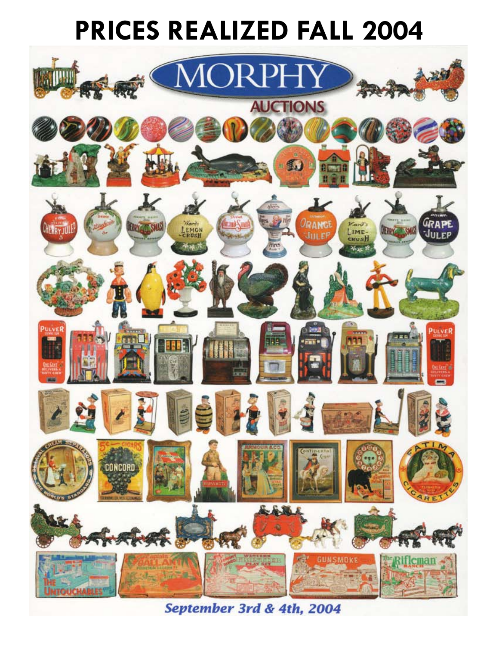## **PRICES REALIZED FALL 2004**



September 3rd & 4th, 2004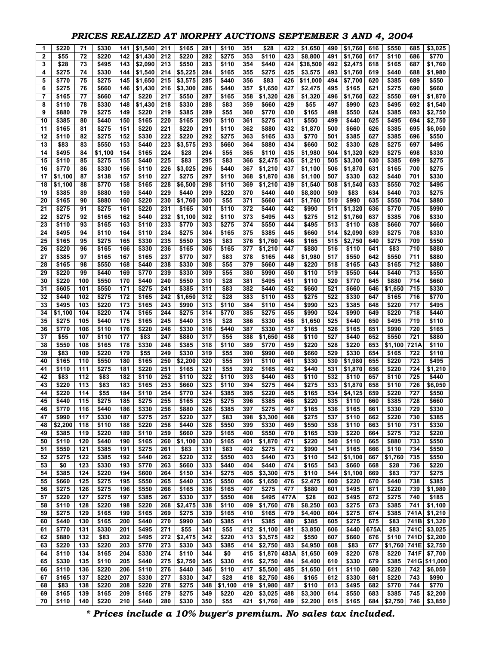## *PRICES REALIZED AT MORPHY AUCTIONS SEPTEMBER 3 AND 4, 2004*

| 1        | \$220          | 71         | \$330          | 141        | \$1,540        | 211        | \$165            | 281        | \$110          | 351        | \$28             | 422         | \$1,650            | 490        | \$1,760        | 616        | \$550          | 685        | \$3,025          |
|----------|----------------|------------|----------------|------------|----------------|------------|------------------|------------|----------------|------------|------------------|-------------|--------------------|------------|----------------|------------|----------------|------------|------------------|
| 2        | \$55           | 72         | \$220          | 142        | \$1,430        | 212        | \$220            | 282        | \$275          | 353        | \$110            | 423         | \$8,800            | 491        | \$1,760        | 617        | \$110          | 686        | \$770            |
| 3        | \$28           | 73         | \$495          | 143        | \$2,090        | 213        | \$550            | 283        | \$110          | 354        | \$440            | 424         | \$38,500           | 492        | \$2,475        | 618        | \$165          | 687        | \$1,760          |
| 4        | \$275          | 74         | \$330          | 144        | \$1,540        | 214        | \$5,225          | 284        | \$165          | 355        | \$275            | 425         | \$3,575            | 493        | \$1,760        | 619        | \$440          | 688        | \$1,980          |
| 5        | \$770          | 75         | \$275          | 145        | \$1,650        | 215        | \$3,575          | 285        | \$440          | 356        | \$83             | 426         | \$11,000           | 494        | \$7,700        | 620        | \$385          | 689        | \$550            |
| 6        | \$275          | 76         | \$660          | 146        | \$1,430        | 216        | \$3,300          | 286        | \$440          | 357        | \$1.650          | 427         | \$2,475            | 495        | \$165          | 621        | \$275          | 690        | \$660            |
| 7        | \$165          | 77         | \$660          | 147        | \$220          | 217        | \$550            | 287        | \$165          | 358        | \$1,320          | 428         | \$1,320            | 496        | \$1,760        | 622        | \$550          | 691        | \$1,870          |
| 8        | \$110          | 78         | \$330          | 148        | \$1,430        | 218        | \$330            | 288        | \$83           | 359        | \$660            | 429         | \$55               | 497        | \$990          | 623        | \$495          | 692        | \$1,540          |
| 9        | \$880          | 79         | \$275          | 149        | \$220          | 219        | \$385            | 289        | \$55           | 360        | \$770            | 430         | \$165              | 498        | \$550          | 624        | \$385          | 693        | \$2,750          |
| 10       | \$385          | 80         | \$440          | 150        | \$165          | 220        | \$165            | 290        | \$110          | 361        | \$275            | 431         | \$550              | 499        | \$440          | 625        | \$495          | 694        | \$2,750          |
| 11       | \$165          | 81         | \$275          | 151        | \$220          | 221        | \$220            | 291        | \$110          | 362        | \$880            | 432         | \$1,870            | 500        | \$660          | 626        | \$385          | 695        | \$6,050          |
| 12       | \$110          | 82         | \$275          | 152        | \$330          | 222        | \$220            | 292        | \$275          | 363        | \$165            | 433         | \$770              | 501        | \$385          | 627        | \$385          | 696        | \$550            |
| 13       | \$83           | 83         | \$550          | 153        | \$440          | 223        | \$3,575          | 293        | \$660          | 364        | \$880            | 434         | \$660              | 502        | \$330          | 628        | \$275          | 697        | \$495            |
| 14       | \$495          | 84         | \$1,100        | 154        | \$165          | 224        | \$28             | 294        | \$55           | 365        | \$110            | 435         | \$1,980            | 504        | \$1,320        | 629        | \$275          | 698        | \$330            |
| 15       | \$110          | 85         | \$275          | 155        | \$440          | 225        | \$83             | 295        | \$83           | 366        | \$2,475          | 436         | \$1,210            | 505        | \$3,300        | 630        | \$385          | 699        | \$275            |
| 16       | \$770          | 86         | \$330          | 156        | \$110          | 226        | \$3,025          | 296        | \$440          | 367        | \$1,210          | 437         | \$1,100            | 506        | \$1,870        | 631        | \$165          | 700        | \$275            |
| 17       | \$1,100        | 87         | \$138          | 157        | \$110          | 227        | \$275            | 297        | \$110          | 368        | \$1,870          | 438         | \$1,100            | 507        | \$330          | 632        | \$440          | 701        | \$330            |
| 18       | \$1,100        | 88         | \$770          | 158        | \$165          | 228<br>229 | \$6,500          | 298<br>299 | \$110          | 369<br>370 | \$1,210          | 439<br>440  | \$1,540            | 508<br>509 | \$1,540        | 633        | \$550          | 702<br>703 | \$495            |
| 19<br>20 | \$385<br>\$165 | 89<br>90   | \$880<br>\$880 | 159<br>160 | \$440<br>\$220 | 230        | \$440<br>\$1,760 | 300        | \$220<br>\$55  | 371        | \$440<br>\$660   | 441         | \$8,800<br>\$1,760 | 510        | \$83<br>\$990  | 634<br>635 | \$440<br>\$550 | 704        | \$275<br>\$880   |
| 21       | \$275          | 91         | \$275          | 161        | \$220          | 231        | \$165            | 301        | \$110          | 372        | \$440            | 442         | \$990              | 511        | \$1,320        | 636        | \$770          | 705        | \$990            |
| 22       | \$275          | 92         | \$165          | 162        | \$440          | 232        | \$1,100          | 302        | \$110          | 373        | \$495            | 443         | \$275              | 512        | \$1,760        | 637        | \$385          | 706        | \$330            |
| 23       | \$110          | 93         | \$165          | 163        | \$110          | 233        | \$770            | 303        | \$275          | 374        | \$550            | 444         | \$495              | 513        | \$110          | 638        | \$660          | 707        | \$660            |
| 24       | \$495          | 94         | \$110          | 164        | \$110          | 234        | \$275            | 304        | \$165          | 375        | \$385            | 445         | \$660              | 514        | \$2,090        | 639        | \$275          | 708        | \$330            |
| 25       | \$165          | 95         | \$275          | 165        | \$330          | 235        | \$550            | 305        | \$83           | 376        | \$1,760          | 446         | \$165              | 515        | \$2,750        | 640        | \$275          | 709        | \$550            |
| 26       | \$220          | 96         | \$165          | 166        | \$330          | 236        | \$165            | 306        | \$165          | 377        | \$1,210          | 447         | \$880              | 516        | \$110          | 641        | \$83           | 710        | \$880            |
| 27       | \$385          | 97         | \$165          | 167        | \$165          | 237        | \$770            | 307        | \$83           | 378        | \$165            | 448         | \$1,980            | 517        | \$550          | 642        | \$550          | 711        | \$880            |
| 28       | \$165          | 98         | \$550          | 168        | \$440          | 238        | \$330            | 308        | \$55           | 379        | \$660            | 449         | \$220              | 518        | \$165          | 643        | \$165          | 712        | \$880            |
| 29       | \$220          | 99         | \$440          | 169        | \$770          | 239        | \$330            | 309        | \$55           | 380        | \$990            | 450         | \$110              | 519        | \$550          | 644        | \$440          | 713        | \$550            |
| 30       | \$220          | 100        | \$550          | 170        | \$440          | 240        | \$550            | 310        | \$28           | 381        | \$495            | 451         | \$110              | 520        | \$770          | 645        | \$880          | 714        | \$660            |
| 31       | \$605          | 101        | \$550          | 171        | \$275          | 241        | \$385            | 311        | \$83           | 382        | \$440            | 452         | \$660              | 521        | \$660          | 646        | \$1,650        | 715        | \$330            |
| 32       | \$440          | 102        | \$275          | 172        | \$165          | 242        | \$1,650          | 312        | \$28           | 383        | \$110            | 453         | \$275              | 522        | \$330          | 647        | \$165          | 716        | \$770            |
| 33       | \$495          | 103        | \$220          | 173        | \$165          | 243        | \$990            | 313        | \$110          | 384        | \$110            | 454         | \$990              | 523        | \$385          | 648        | \$220          | 717        | \$495            |
| 34       | \$1,100        | 104        | \$220          | 174        | \$165          | 244        | \$275            | 314        | \$770          | 385        | \$275            | 455         | \$990              | 524        | \$990          | 649        | \$220          | 718        | \$440            |
| 35       | \$275          | 105        | \$440          | 175        | \$165          | 245        | \$440            | 315        | \$28           | 386        | \$330            | 456         | \$1,650            | 525        | \$440          | 650        | \$495          | 719        | \$110            |
| 36       | \$770          | 106        | \$110          | 176        | \$220          | 246        | \$330            | 316        | \$440          | 387        | \$330            | 457         | \$165              | 526        | \$165          | 651        | \$990          | 720        | \$165            |
| 37       | \$55           | 107        | \$110          | 177        | \$83           | 247        | \$880            | 317        | \$55           | 388        | \$1,650          | 458         | \$110              | 527        | \$440          | 652        | \$550          | 721        | \$880            |
| 38       | \$550          | 108        | \$165          | 178        | \$330          | 248        | \$385            | 318        | \$110          | 389        | \$770            | 459         | \$220              | 528        | \$220          | 653        | \$1,100        | 721A       | \$110            |
| 39       | \$83           | 109        | \$220          | 179        | \$55           | 249        | \$330            | 319        | \$55           | 390        | \$990            | 460         | \$660              | 529        | \$330          | 654        | \$165          | 722        | \$110            |
| 40       | \$165          | 110        | \$550          | 180        | \$165          | 250        | \$2,200          | 320        | \$55           | 391        | \$110            | 461         | \$330              | 530        | \$1,980        | 655        | \$220          | 723        | \$495            |
| 41       | \$110          | 111        | \$275          | 181        | \$220          | 251        | \$165            | 321        | \$55           | 392        | \$165            | 462         | \$440              | 531        | \$1,870        | 656        | \$220          | 724        | \$1,210          |
| 42       | \$83           | 112        | \$83           | 182        | \$110          | 252        | \$110            | 322        | \$110          | 393        | \$440            | 463         | \$110              | 532        | \$110          | 657        | \$110          | 725        | \$440            |
| 43       | \$220          | 113        | \$83           | 183        | \$165          | 253        | \$660            | 323        | \$110          | 394        | \$275            | 464         | \$275              | 533        | \$1,870        | 658        | \$110          | 726        | \$6,050          |
| 44       | \$220          | 114        | \$55           | 184        | \$110          | 254        | \$770            | 324        | \$385          | 395        | \$220            | 465         | \$165              | 534        | \$4,125        | 659        | \$220          | 727        | \$550            |
| 45       | \$440          | 115        | \$275          | 185        | \$275          | 255        | \$165            | 325        | \$275          | 396        | \$385            | 466         | \$220              | 535        | \$110          | 660        | \$385          | 728        | \$660            |
| 46       | \$770          | 116        | \$440          | 186        | \$330          | 256        | \$880            | 326        | \$385          | 397        | \$275            | 467         | \$165              | 536        | \$165          | 661        | \$330          | 729        | \$330            |
| 47       | \$990          | 117        | \$330          | 187        | \$275          | 257        | \$220            | 327        | \$83           | 398        | \$3,300          | 468         | \$275              | 537        | \$110          | 662        | \$220          | 730        | \$385            |
| 48       | \$2,200        | 118        | \$110          | 188        | \$220          | 258        | \$440            | 328        | \$550          | 399        | \$330            | 469         | \$550              | 538        | \$110          | 663        | \$110          | 731        | \$330            |
| 49       | \$385          | 119        | \$220          | 189        | \$110          | 259        | \$660            | 329        | \$165          | 400        | \$550            | 470         | \$165              | 539        | \$220          | 664        | \$275          | 732        | \$220            |
| 50       | \$110          | 120        | \$440          | 190        | \$165          | 260        | \$1,100          | 330        | \$165          | 401        | \$1,870          | 471         | \$220              | 540        | \$110          | 665        | \$880          | 733        | \$550            |
| 51       | \$550          | 121        | \$385          | 191        | \$275          | 261        | \$83             | 331        | \$83           | 402        | \$275            | 472         | \$990              | 541        | \$165          | 666        | \$110          | 734        | \$550            |
| 52       | \$275          | 122        | \$385          | 192        | \$440          | 262        | \$220            | 332        | \$550          | 403        | \$440            | 473         | \$110              | 542        | \$1,100        | 667        | \$1,760        | 735        | \$550            |
| 53       | \$0            | 123        | \$330          | 193        | \$770          | 263        | \$660            | 333        | \$440          | 404        | \$440            | 474         | \$165              | 543        | \$660          | 668        | \$28           | 736        | \$220            |
| 54       | \$385          | 124        | \$220          | 194        | \$600          | 264        | \$150            | 334        | \$275          | 405        | \$3,300          | 475         | \$110              | 544        | \$1,100        | 669        | \$83           | 737        | \$275            |
| 55       | \$660<br>\$275 | 125<br>126 | \$275<br>\$275 | 195<br>196 | \$550<br>\$550 | 265<br>266 | \$440<br>\$165   | 335<br>336 | \$550<br>\$165 | 406<br>407 | \$1,650<br>\$275 | 476<br>477  | \$2,475<br>\$880   | 600<br>601 | \$220<br>\$495 | 670<br>671 | \$440<br>\$220 | 738<br>739 | \$385<br>\$1,980 |
| 56       |                |            |                |            |                |            |                  |            |                |            |                  |             |                    |            |                |            |                |            |                  |
| 57<br>58 | \$220<br>\$110 | 127<br>128 | \$275<br>\$220 | 197<br>198 | \$385<br>\$220 | 267<br>268 | \$330<br>\$2,475 | 337<br>338 | \$550<br>\$110 | 408<br>409 | \$495<br>\$1,760 | 477A<br>478 | \$28<br>\$8,250    | 602<br>603 | \$495<br>\$275 | 672<br>673 | \$275<br>\$385 | 740<br>741 | \$185<br>\$1,100 |
| 59       | \$275          | 129        | \$165          | 199        | \$165          | 269        | \$275            | 339        | \$165          | 410        | \$165            | 479         | \$4,400            | 604        | \$275          | 674        | \$385          | 741A       | \$1,210          |
| 60       | \$440          | 130        | \$165          | 200        | \$440          | 270        | \$990            | 340        | \$385          | 411        | \$385            | 480         | \$385              | 605        | \$275          | 675        | \$83           | 741B       | \$1,320          |
| 61       | \$770          | 131        | \$330          | 201        | \$495          | 271        | \$55             | 341        | \$55           | 412        | \$1,100          | 481         | \$3,850            | 606        | \$440          | 675A       | \$83           | 741C       | \$3,025          |
| 62       | \$880          | 132        | \$83           | 202        | \$495          | 272        | \$2,475          | 342        | \$220          | 413        | \$3,575          | 482         | \$550              | 607        | \$660          | 676        | \$110          | 741D       | \$2,200          |
| 63       | \$220          | 133        | \$220          | 203        | \$770          | 273        | \$330            | 343        | \$385          | 414        | \$2,750          | 483         | \$4,950            | 608        | \$83           | 677        | \$1,760        | 741E       | $\sqrt{$2,750}$  |
| 64       | \$110          | 134        | \$165          | 204        | \$330          | 274        | \$110            | 344        | \$0            | 415        | \$1,870          | 483A        | \$1,650            | 609        | \$220          | 678        | \$220          | 741F       | \$7,700          |
| 65       | \$330          | 135        | \$110          | 205        | \$440          | 275        | \$2,750          | 345        | \$330          | 416        | \$2,750          | 484         | \$4,400            | 610        | \$330          | 679        | \$385          |            | 741G \$11,000    |
| 66       | \$110          | 136        | \$220          | 206        | \$110          | 276        | \$440            | 346        | \$110          | 417        | \$5,500          | 485         | \$1,650            | 611        | \$110          | 680        | \$220          | 742        | \$6,050          |
| 67       | \$165          | 137        | \$220          | 207        | \$330          | 277        | \$330            | 347        | \$28           | 418        | \$2,750          | 486         | \$165              | 612        | \$330          | 681        | \$220          | 743        | \$990            |
| 68       | \$83           | 138        | \$220          | 208        | \$220          | 278        | \$275            | 348        | \$1,100        | 419        | \$1,980          | 487         | \$110              | 613        | \$495          | 682        | \$770          | 744        | \$770            |
| 69       | \$165          | 139        | \$165          | 209        | \$165          | 279        | \$275            | 349        | \$220          | 420        | \$3,025          | 488         | \$3,300            | 614        | \$550          | 683        | \$385          | 745        | \$2,200          |
| 70       | \$110          | 140        | \$220          | 210        | \$440          | 280        | \$330            | 350        | \$55           | 421        | \$1,760          | 489         | \$2,200            | 615        | \$165          | 684        | \$2,750        | 746        | \$3,850          |

*\* Prices include a 10% buyer's premium. No sales tax included.*